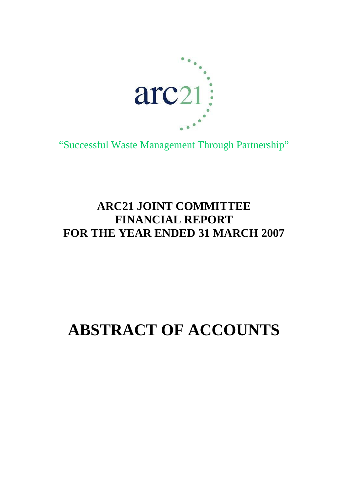

"Successful Waste Management Through Partnership"

# **ARC21 JOINT COMMITTEE FINANCIAL REPORT FOR THE YEAR ENDED 31 MARCH 2007**

# **ABSTRACT OF ACCOUNTS**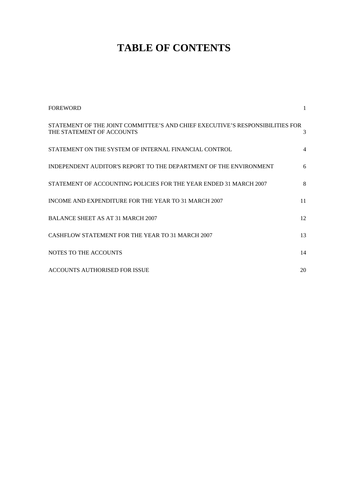# **TABLE OF CONTENTS**

| <b>FOREWORD</b>                                                                                            | $\mathbf{1}$   |
|------------------------------------------------------------------------------------------------------------|----------------|
| STATEMENT OF THE JOINT COMMITTEE'S AND CHIEF EXECUTIVE'S RESPONSIBILITIES FOR<br>THE STATEMENT OF ACCOUNTS | 3              |
| STATEMENT ON THE SYSTEM OF INTERNAL FINANCIAL CONTROL                                                      | $\overline{4}$ |
| INDEPENDENT AUDITOR'S REPORT TO THE DEPARTMENT OF THE ENVIRONMENT                                          | 6              |
| STATEMENT OF ACCOUNTING POLICIES FOR THE YEAR ENDED 31 MARCH 2007                                          | 8              |
| INCOME AND EXPENDITURE FOR THE YEAR TO 31 MARCH 2007                                                       | 11             |
| <b>BALANCE SHEET AS AT 31 MARCH 2007</b>                                                                   | 12             |
| CASHFLOW STATEMENT FOR THE YEAR TO 31 MARCH 2007                                                           | 13             |
| NOTES TO THE ACCOUNTS                                                                                      | 14             |
| ACCOUNTS AUTHORISED FOR ISSUE                                                                              | 20             |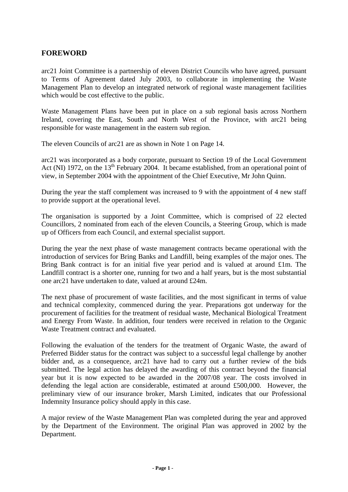# **FOREWORD**

arc21 Joint Committee is a partnership of eleven District Councils who have agreed, pursuant to Terms of Agreement dated July 2003, to collaborate in implementing the Waste Management Plan to develop an integrated network of regional waste management facilities which would be cost effective to the public.

Waste Management Plans have been put in place on a sub regional basis across Northern Ireland, covering the East, South and North West of the Province, with arc21 being responsible for waste management in the eastern sub region.

The eleven Councils of arc21 are as shown in Note 1 on Page 14.

arc21 was incorporated as a body corporate, pursuant to Section 19 of the Local Government Act (NI) 1972, on the  $13<sup>th</sup>$  February 2004. It became established, from an operational point of view, in September 2004 with the appointment of the Chief Executive, Mr John Quinn.

During the year the staff complement was increased to 9 with the appointment of 4 new staff to provide support at the operational level.

The organisation is supported by a Joint Committee, which is comprised of 22 elected Councillors, 2 nominated from each of the eleven Councils, a Steering Group, which is made up of Officers from each Council, and external specialist support.

During the year the next phase of waste management contracts became operational with the introduction of services for Bring Banks and Landfill, being examples of the major ones. The Bring Bank contract is for an initial five year period and is valued at around £1m. The Landfill contract is a shorter one, running for two and a half years, but is the most substantial one arc21 have undertaken to date, valued at around £24m.

The next phase of procurement of waste facilities, and the most significant in terms of value and technical complexity, commenced during the year. Preparations got underway for the procurement of facilities for the treatment of residual waste, Mechanical Biological Treatment and Energy From Waste. In addition, four tenders were received in relation to the Organic Waste Treatment contract and evaluated.

Following the evaluation of the tenders for the treatment of Organic Waste, the award of Preferred Bidder status for the contract was subject to a successful legal challenge by another bidder and, as a consequence, arc21 have had to carry out a further review of the bids submitted. The legal action has delayed the awarding of this contract beyond the financial year but it is now expected to be awarded in the 2007/08 year. The costs involved in defending the legal action are considerable, estimated at around £500,000. However, the preliminary view of our insurance broker, Marsh Limited, indicates that our Professional Indemnity Insurance policy should apply in this case.

A major review of the Waste Management Plan was completed during the year and approved by the Department of the Environment. The original Plan was approved in 2002 by the Department.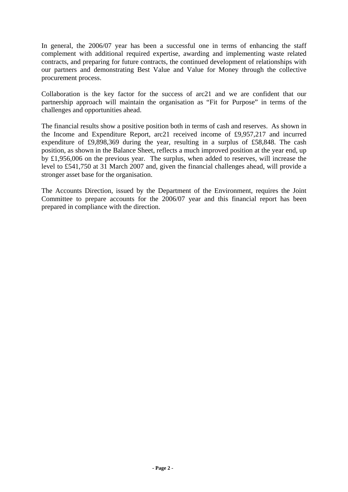In general, the 2006/07 year has been a successful one in terms of enhancing the staff complement with additional required expertise, awarding and implementing waste related contracts, and preparing for future contracts, the continued development of relationships with our partners and demonstrating Best Value and Value for Money through the collective procurement process.

Collaboration is the key factor for the success of arc21 and we are confident that our partnership approach will maintain the organisation as "Fit for Purpose" in terms of the challenges and opportunities ahead.

The financial results show a positive position both in terms of cash and reserves. As shown in the Income and Expenditure Report, arc21 received income of £9,957,217 and incurred expenditure of £9,898,369 during the year, resulting in a surplus of £58,848. The cash position, as shown in the Balance Sheet, reflects a much improved position at the year end, up by £1,956,006 on the previous year. The surplus, when added to reserves, will increase the level to £541,750 at 31 March 2007 and, given the financial challenges ahead, will provide a stronger asset base for the organisation.

The Accounts Direction, issued by the Department of the Environment, requires the Joint Committee to prepare accounts for the 2006/07 year and this financial report has been prepared in compliance with the direction.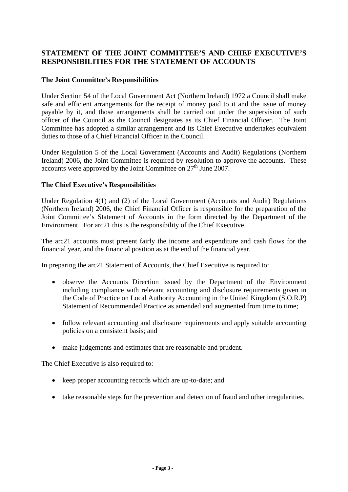# **STATEMENT OF THE JOINT COMMITTEE'S AND CHIEF EXECUTIVE'S RESPONSIBILITIES FOR THE STATEMENT OF ACCOUNTS**

#### **The Joint Committee's Responsibilities**

Under Section 54 of the Local Government Act (Northern Ireland) 1972 a Council shall make safe and efficient arrangements for the receipt of money paid to it and the issue of money payable by it, and those arrangements shall be carried out under the supervision of such officer of the Council as the Council designates as its Chief Financial Officer. The Joint Committee has adopted a similar arrangement and its Chief Executive undertakes equivalent duties to those of a Chief Financial Officer in the Council.

Under Regulation 5 of the Local Government (Accounts and Audit) Regulations (Northern Ireland) 2006, the Joint Committee is required by resolution to approve the accounts. These accounts were approved by the Joint Committee on 27<sup>th</sup> June 2007.

#### **The Chief Executive's Responsibilities**

Under Regulation 4(1) and (2) of the Local Government (Accounts and Audit) Regulations (Northern Ireland) 2006, the Chief Financial Officer is responsible for the preparation of the Joint Committee's Statement of Accounts in the form directed by the Department of the Environment. For arc21 this is the responsibility of the Chief Executive.

The arc21 accounts must present fairly the income and expenditure and cash flows for the financial year, and the financial position as at the end of the financial year.

In preparing the arc21 Statement of Accounts, the Chief Executive is required to:

- observe the Accounts Direction issued by the Department of the Environment including compliance with relevant accounting and disclosure requirements given in the Code of Practice on Local Authority Accounting in the United Kingdom (S.O.R.P) Statement of Recommended Practice as amended and augmented from time to time;
- follow relevant accounting and disclosure requirements and apply suitable accounting policies on a consistent basis; and
- make judgements and estimates that are reasonable and prudent.

The Chief Executive is also required to:

- keep proper accounting records which are up-to-date; and
- take reasonable steps for the prevention and detection of fraud and other irregularities.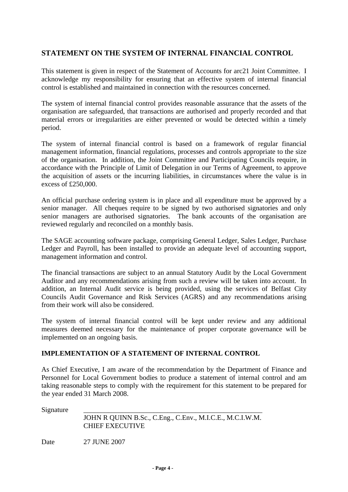# **STATEMENT ON THE SYSTEM OF INTERNAL FINANCIAL CONTROL**

This statement is given in respect of the Statement of Accounts for arc21 Joint Committee. I acknowledge my responsibility for ensuring that an effective system of internal financial control is established and maintained in connection with the resources concerned.

The system of internal financial control provides reasonable assurance that the assets of the organisation are safeguarded, that transactions are authorised and properly recorded and that material errors or irregularities are either prevented or would be detected within a timely period.

The system of internal financial control is based on a framework of regular financial management information, financial regulations, processes and controls appropriate to the size of the organisation. In addition, the Joint Committee and Participating Councils require, in accordance with the Principle of Limit of Delegation in our Terms of Agreement, to approve the acquisition of assets or the incurring liabilities, in circumstances where the value is in excess of  $£250,000$ .

An official purchase ordering system is in place and all expenditure must be approved by a senior manager. All cheques require to be signed by two authorised signatories and only senior managers are authorised signatories. The bank accounts of the organisation are reviewed regularly and reconciled on a monthly basis.

The SAGE accounting software package, comprising General Ledger, Sales Ledger, Purchase Ledger and Payroll, has been installed to provide an adequate level of accounting support, management information and control.

The financial transactions are subject to an annual Statutory Audit by the Local Government Auditor and any recommendations arising from such a review will be taken into account. In addition, an Internal Audit service is being provided, using the services of Belfast City Councils Audit Governance and Risk Services (AGRS) and any recommendations arising from their work will also be considered.

The system of internal financial control will be kept under review and any additional measures deemed necessary for the maintenance of proper corporate governance will be implemented on an ongoing basis.

#### **IMPLEMENTATION OF A STATEMENT OF INTERNAL CONTROL**

As Chief Executive, I am aware of the recommendation by the Department of Finance and Personnel for Local Government bodies to produce a statement of internal control and am taking reasonable steps to comply with the requirement for this statement to be prepared for the year ended 31 March 2008.

Signature

| JOHN R QUINN B.Sc., C.Eng., C.Env., M.I.C.E., M.C.I.W.M. |
|----------------------------------------------------------|
| <b>CHIEF EXECUTIVE</b>                                   |

Date 27 JUNE 2007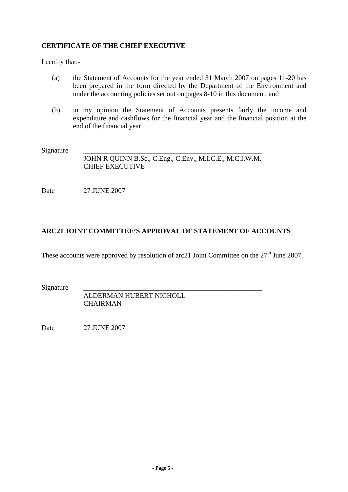# **CERTIFICATE OF THE CHIEF EXECUTIVE**

I certify that:-

- (a) the Statement of Accounts for the year ended 31 March 2007 on pages 11-20 has been prepared in the form directed by the Department of the Environment and under the accounting policies set out on pages 8-10 in this document, and
- (b) in my opinion the Statement of Accounts presents fairly the income and expenditure and cashflows for the financial year and the financial position at the end of the financial year.

Signature

 JOHN R QUINN B.Sc., C.Eng., C.Env., M.I.C.E., M.C.I.W.M. CHIEF EXECUTIVE

Date 27 JUNE 2007

# **ARC21 JOINT COMMITTEE'S APPROVAL OF STATEMENT OF ACCOUNTS**

These accounts were approved by resolution of arc21 Joint Committee on the  $27<sup>th</sup>$  June 2007.

Signature

 ALDERMAN HUBERT NICHOLL **CHAIRMAN** 

Date 27 JUNE 2007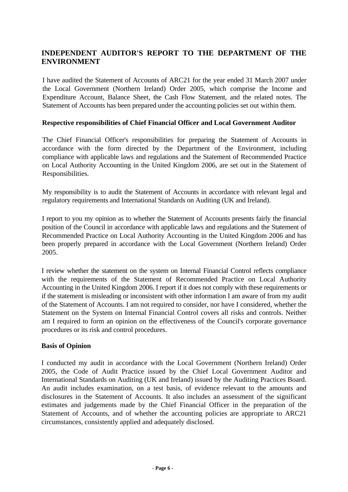# **INDEPENDENT AUDITOR'S REPORT TO THE DEPARTMENT OF THE ENVIRONMENT**

I have audited the Statement of Accounts of ARC21 for the year ended 31 March 2007 under the Local Government (Northern Ireland) Order 2005, which comprise the Income and Expenditure Account, Balance Sheet, the Cash Flow Statement, and the related notes. The Statement of Accounts has been prepared under the accounting policies set out within them.

#### **Respective responsibilities of Chief Financial Officer and Local Government Auditor**

The Chief Financial Officer's responsibilities for preparing the Statement of Accounts in accordance with the form directed by the Department of the Environment, including compliance with applicable laws and regulations and the Statement of Recommended Practice on Local Authority Accounting in the United Kingdom 2006, are set out in the Statement of Responsibilities.

My responsibility is to audit the Statement of Accounts in accordance with relevant legal and regulatory requirements and International Standards on Auditing (UK and Ireland).

I report to you my opinion as to whether the Statement of Accounts presents fairly the financial position of the Council in accordance with applicable laws and regulations and the Statement of Recommended Practice on Local Authority Accounting in the United Kingdom 2006 and has been properly prepared in accordance with the Local Government (Northern Ireland) Order 2005.

I review whether the statement on the system on Internal Financial Control reflects compliance with the requirements of the Statement of Recommended Practice on Local Authority Accounting in the United Kingdom 2006. I report if it does not comply with these requirements or if the statement is misleading or inconsistent with other information I am aware of from my audit of the Statement of Accounts. I am not required to consider, nor have I considered, whether the Statement on the System on Internal Financial Control covers all risks and controls. Neither am I required to form an opinion on the effectiveness of the Council's corporate governance procedures or its risk and control procedures.

#### **Basis of Opinion**

I conducted my audit in accordance with the Local Government (Northern Ireland) Order 2005, the Code of Audit Practice issued by the Chief Local Government Auditor and International Standards on Auditing (UK and Ireland) issued by the Auditing Practices Board. An audit includes examination, on a test basis, of evidence relevant to the amounts and disclosures in the Statement of Accounts. It also includes an assessment of the significant estimates and judgements made by the Chief Financial Officer in the preparation of the Statement of Accounts, and of whether the accounting policies are appropriate to ARC21 circumstances, consistently applied and adequately disclosed.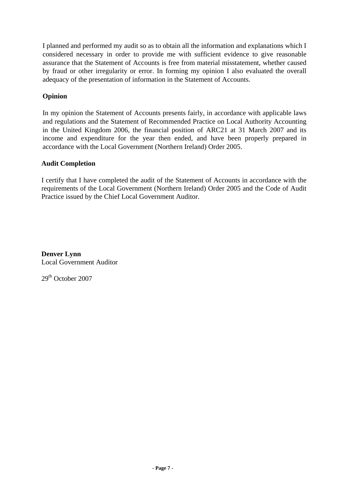I planned and performed my audit so as to obtain all the information and explanations which I considered necessary in order to provide me with sufficient evidence to give reasonable assurance that the Statement of Accounts is free from material misstatement, whether caused by fraud or other irregularity or error. In forming my opinion I also evaluated the overall adequacy of the presentation of information in the Statement of Accounts.

# **Opinion**

In my opinion the Statement of Accounts presents fairly, in accordance with applicable laws and regulations and the Statement of Recommended Practice on Local Authority Accounting in the United Kingdom 2006, the financial position of ARC21 at 31 March 2007 and its income and expenditure for the year then ended, and have been properly prepared in accordance with the Local Government (Northern Ireland) Order 2005.

# **Audit Completion**

I certify that I have completed the audit of the Statement of Accounts in accordance with the requirements of the Local Government (Northern Ireland) Order 2005 and the Code of Audit Practice issued by the Chief Local Government Auditor.

**Denver Lynn**  Local Government Auditor

 $29<sup>th</sup>$  October 2007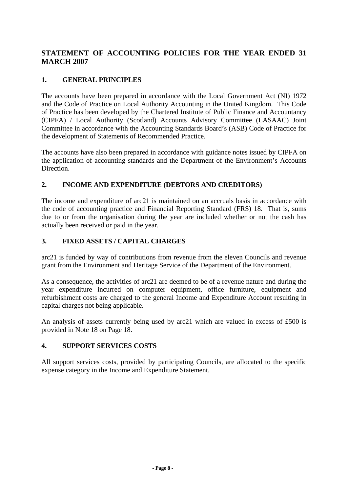# **STATEMENT OF ACCOUNTING POLICIES FOR THE YEAR ENDED 31 MARCH 2007**

# **1. GENERAL PRINCIPLES**

The accounts have been prepared in accordance with the Local Government Act (NI) 1972 and the Code of Practice on Local Authority Accounting in the United Kingdom. This Code of Practice has been developed by the Chartered Institute of Public Finance and Accountancy (CIPFA) / Local Authority (Scotland) Accounts Advisory Committee (LASAAC) Joint Committee in accordance with the Accounting Standards Board's (ASB) Code of Practice for the development of Statements of Recommended Practice.

The accounts have also been prepared in accordance with guidance notes issued by CIPFA on the application of accounting standards and the Department of the Environment's Accounts Direction.

# **2. INCOME AND EXPENDITURE (DEBTORS AND CREDITORS)**

The income and expenditure of arc21 is maintained on an accruals basis in accordance with the code of accounting practice and Financial Reporting Standard (FRS) 18. That is, sums due to or from the organisation during the year are included whether or not the cash has actually been received or paid in the year.

# **3. FIXED ASSETS / CAPITAL CHARGES**

arc21 is funded by way of contributions from revenue from the eleven Councils and revenue grant from the Environment and Heritage Service of the Department of the Environment.

As a consequence, the activities of arc21 are deemed to be of a revenue nature and during the year expenditure incurred on computer equipment, office furniture, equipment and refurbishment costs are charged to the general Income and Expenditure Account resulting in capital charges not being applicable.

An analysis of assets currently being used by arc21 which are valued in excess of £500 is provided in Note 18 on Page 18.

#### **4. SUPPORT SERVICES COSTS**

All support services costs, provided by participating Councils, are allocated to the specific expense category in the Income and Expenditure Statement.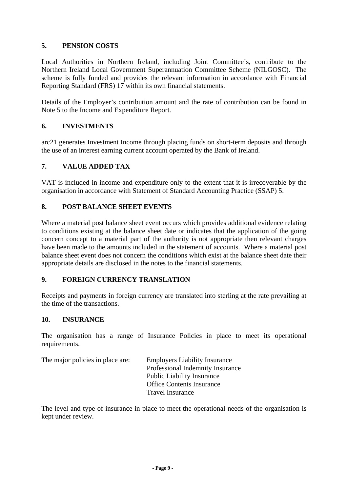# **5. PENSION COSTS**

Local Authorities in Northern Ireland, including Joint Committee's, contribute to the Northern Ireland Local Government Superannuation Committee Scheme (NILGOSC). The scheme is fully funded and provides the relevant information in accordance with Financial Reporting Standard (FRS) 17 within its own financial statements.

Details of the Employer's contribution amount and the rate of contribution can be found in Note 5 to the Income and Expenditure Report.

#### **6. INVESTMENTS**

arc21 generates Investment Income through placing funds on short-term deposits and through the use of an interest earning current account operated by the Bank of Ireland.

#### **7. VALUE ADDED TAX**

VAT is included in income and expenditure only to the extent that it is irrecoverable by the organisation in accordance with Statement of Standard Accounting Practice (SSAP) 5.

#### **8. POST BALANCE SHEET EVENTS**

Where a material post balance sheet event occurs which provides additional evidence relating to conditions existing at the balance sheet date or indicates that the application of the going concern concept to a material part of the authority is not appropriate then relevant charges have been made to the amounts included in the statement of accounts. Where a material post balance sheet event does not concern the conditions which exist at the balance sheet date their appropriate details are disclosed in the notes to the financial statements.

#### **9. FOREIGN CURRENCY TRANSLATION**

Receipts and payments in foreign currency are translated into sterling at the rate prevailing at the time of the transactions.

#### **10. INSURANCE**

The organisation has a range of Insurance Policies in place to meet its operational requirements.

| The major policies in place are: | <b>Employers Liability Insurance</b> |
|----------------------------------|--------------------------------------|
|                                  | Professional Indemnity Insurance     |
|                                  | <b>Public Liability Insurance</b>    |
|                                  | <b>Office Contents Insurance</b>     |
|                                  | <b>Travel Insurance</b>              |

The level and type of insurance in place to meet the operational needs of the organisation is kept under review.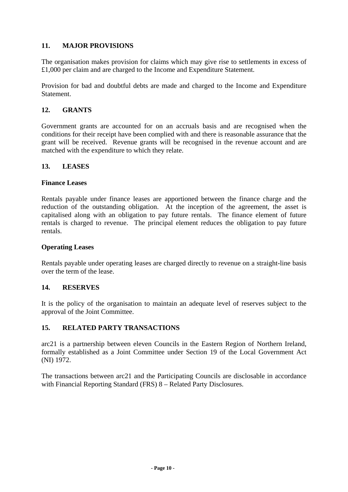# **11. MAJOR PROVISIONS**

The organisation makes provision for claims which may give rise to settlements in excess of £1,000 per claim and are charged to the Income and Expenditure Statement.

Provision for bad and doubtful debts are made and charged to the Income and Expenditure Statement.

#### **12. GRANTS**

Government grants are accounted for on an accruals basis and are recognised when the conditions for their receipt have been complied with and there is reasonable assurance that the grant will be received. Revenue grants will be recognised in the revenue account and are matched with the expenditure to which they relate.

#### **13. LEASES**

#### **Finance Leases**

Rentals payable under finance leases are apportioned between the finance charge and the reduction of the outstanding obligation. At the inception of the agreement, the asset is capitalised along with an obligation to pay future rentals. The finance element of future rentals is charged to revenue. The principal element reduces the obligation to pay future rentals.

#### **Operating Leases**

Rentals payable under operating leases are charged directly to revenue on a straight-line basis over the term of the lease.

#### **14. RESERVES**

It is the policy of the organisation to maintain an adequate level of reserves subject to the approval of the Joint Committee.

#### **15. RELATED PARTY TRANSACTIONS**

arc21 is a partnership between eleven Councils in the Eastern Region of Northern Ireland, formally established as a Joint Committee under Section 19 of the Local Government Act (NI) 1972.

The transactions between arc21 and the Participating Councils are disclosable in accordance with Financial Reporting Standard (FRS) 8 – Related Party Disclosures.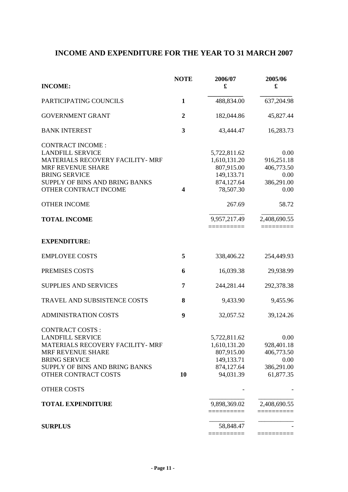# **INCOME AND EXPENDITURE FOR THE YEAR TO 31 MARCH 2007**

| <b>INCOME:</b>                                                                                                                                                                                                                                      | <b>NOTE</b>      | 2006/07<br>$\pmb{\mathfrak{L}}$                                                                               | 2005/06<br>£                                                                            |
|-----------------------------------------------------------------------------------------------------------------------------------------------------------------------------------------------------------------------------------------------------|------------------|---------------------------------------------------------------------------------------------------------------|-----------------------------------------------------------------------------------------|
| PARTICIPATING COUNCILS                                                                                                                                                                                                                              | 1                | 488,834.00                                                                                                    | 637,204.98                                                                              |
| <b>GOVERNMENT GRANT</b>                                                                                                                                                                                                                             | $\boldsymbol{2}$ | 182,044.86                                                                                                    | 45,827.44                                                                               |
| <b>BANK INTEREST</b>                                                                                                                                                                                                                                | 3                | 43,444.47                                                                                                     | 16,283.73                                                                               |
| <b>CONTRACT INCOME:</b><br><b>LANDFILL SERVICE</b><br>MATERIALS RECOVERY FACILITY- MRF<br><b>MRF REVENUE SHARE</b><br><b>BRING SERVICE</b><br>SUPPLY OF BINS AND BRING BANKS<br>OTHER CONTRACT INCOME<br><b>OTHER INCOME</b><br><b>TOTAL INCOME</b> | 4                | 5,722,811.62<br>1,610,131.20<br>807,915.00<br>149,133.71<br>874,127.64<br>78,507.30<br>267.69<br>9,957,217.49 | 0.00<br>916,251.18<br>406,773.50<br>0.00<br>386,291.00<br>0.00<br>58.72<br>2,408,690.55 |
| <b>EXPENDITURE:</b>                                                                                                                                                                                                                                 |                  |                                                                                                               |                                                                                         |
| <b>EMPLOYEE COSTS</b>                                                                                                                                                                                                                               | 5                | 338,406.22                                                                                                    | 254,449.93                                                                              |
| PREMISES COSTS                                                                                                                                                                                                                                      | 6                | 16,039.38                                                                                                     | 29,938.99                                                                               |
| <b>SUPPLIES AND SERVICES</b>                                                                                                                                                                                                                        | 7                | 244,281.44                                                                                                    | 292,378.38                                                                              |
| TRAVEL AND SUBSISTENCE COSTS                                                                                                                                                                                                                        | 8                | 9,433.90                                                                                                      | 9,455.96                                                                                |
| <b>ADMINISTRATION COSTS</b>                                                                                                                                                                                                                         | 9                | 32,057.52                                                                                                     | 39,124.26                                                                               |
| <b>CONTRACT COSTS:</b><br><b>LANDFILL SERVICE</b><br>MATERIALS RECOVERY FACILITY- MRF<br>MRF REVENUE SHARE<br><b>BRING SERVICE</b><br>SUPPLY OF BINS AND BRING BANKS<br><b>OTHER CONTRACT COSTS</b>                                                 | 10               | 5,722,811.62<br>1,610,131.20<br>807,915.00<br>149,133.71<br>874,127.64<br>94,031.39                           | 0.00<br>928,401.18<br>406,773.50<br>0.00<br>386,291.00<br>61,877.35                     |
| <b>OTHER COSTS</b>                                                                                                                                                                                                                                  |                  |                                                                                                               |                                                                                         |
| <b>TOTAL EXPENDITURE</b>                                                                                                                                                                                                                            |                  | 9,898,369.02<br>ssessesses                                                                                    | 2,408,690.55<br>=========                                                               |
| <b>SURPLUS</b>                                                                                                                                                                                                                                      |                  | 58,848.47                                                                                                     |                                                                                         |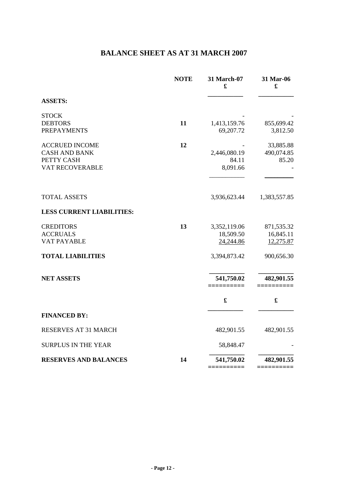# **BALANCE SHEET AS AT 31 MARCH 2007**

|                                                                                | <b>NOTE</b> | 31 March-07<br>£                       | 31 Mar-06<br>£                       |
|--------------------------------------------------------------------------------|-------------|----------------------------------------|--------------------------------------|
| <b>ASSETS:</b>                                                                 |             |                                        |                                      |
| <b>STOCK</b><br><b>DEBTORS</b><br><b>PREPAYMENTS</b>                           | 11          | 1,413,159.76<br>69,207.72              | 855,699.42<br>3,812.50               |
| <b>ACCRUED INCOME</b><br><b>CASH AND BANK</b><br>PETTY CASH<br>VAT RECOVERABLE | 12          | 2,446,080.19<br>84.11<br>8,091.66      | 33,885.88<br>490,074.85<br>85.20     |
| <b>TOTAL ASSETS</b>                                                            |             | 3,936,623.44                           | 1,383,557.85                         |
| <b>LESS CURRENT LIABILITIES:</b>                                               |             |                                        |                                      |
| <b>CREDITORS</b><br><b>ACCRUALS</b><br><b>VAT PAYABLE</b>                      | 13          | 3,352,119.06<br>18,509.50<br>24,244.86 | 871,535.32<br>16,845.11<br>12,275.87 |
| <b>TOTAL LIABILITIES</b>                                                       |             | 3,394,873.42                           | 900,656.30                           |
| <b>NET ASSETS</b>                                                              |             | 541,750.02<br>==========               | 482,901.55<br>==========             |
|                                                                                |             | $\pmb{\mathfrak{L}}$                   | $\pmb{\mathfrak{L}}$                 |
| <b>FINANCED BY:</b>                                                            |             |                                        |                                      |
| RESERVES AT 31 MARCH                                                           |             | 482,901.55                             | 482,901.55                           |
| <b>SURPLUS IN THE YEAR</b>                                                     |             | 58,848.47                              |                                      |
| <b>RESERVES AND BALANCES</b>                                                   | 14          | 541,750.02                             | 482,901.55                           |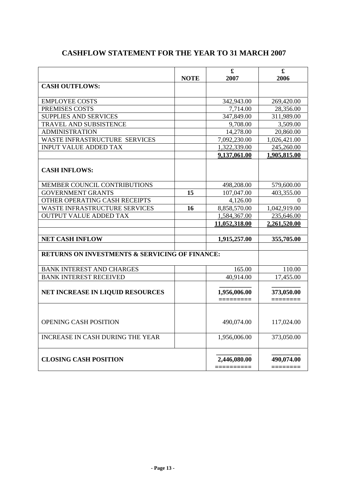|                                                           | <b>NOTE</b> | $\mathbf f$<br>2007        | £<br>2006              |
|-----------------------------------------------------------|-------------|----------------------------|------------------------|
| <b>CASH OUTFLOWS:</b>                                     |             |                            |                        |
|                                                           |             |                            |                        |
| <b>EMPLOYEE COSTS</b>                                     |             | 342,943.00                 | 269,420.00             |
| PREMISES COSTS                                            |             | 7,714.00                   | 28,356.00              |
| <b>SUPPLIES AND SERVICES</b>                              |             | 347,849.00                 | 311,989.00             |
| TRAVEL AND SUBSISTENCE                                    |             | 9,708.00                   | 3,509.00               |
| <b>ADMINISTRATION</b>                                     |             | 14,278.00                  | 20,860.00              |
| WASTE INFRASTRUCTURE SERVICES                             |             | 7,092,230.00               | 1,026,421.00           |
| <b>INPUT VALUE ADDED TAX</b>                              |             | 1,322,339.00               | 245,260.00             |
|                                                           |             | 9,137,061.00               | 1,905,815.00           |
| <b>CASH INFLOWS:</b>                                      |             |                            |                        |
| MEMBER COUNCIL CONTRIBUTIONS                              |             | 498,208.00                 | 579,600.00             |
| <b>GOVERNMENT GRANTS</b>                                  | 15          | 107,047.00                 | 403,355.00             |
| OTHER OPERATING CASH RECEIPTS                             |             | 4,126.00                   | $\theta$               |
| <b>WASTE INFRASTRUCTURE SERVICES</b>                      | 16          | 8,858,570.00               | 1,042,919.00           |
| <b>OUTPUT VALUE ADDED TAX</b>                             |             | 1,584,367.00               | 235,646.00             |
|                                                           |             | 11,052,318.00              | 2,261,520.00           |
|                                                           |             |                            |                        |
| <b>NET CASH INFLOW</b>                                    |             | 1,915,257.00               | 355,705.00             |
|                                                           |             |                            |                        |
| <b>RETURNS ON INVESTMENTS &amp; SERVICING OF FINANCE:</b> |             |                            |                        |
| <b>BANK INTEREST AND CHARGES</b>                          |             | 165.00                     | 110.00                 |
| <b>BANK INTEREST RECEIVED</b>                             |             | 40,914.00                  | 17,455.00              |
| NET INCREASE IN LIQUID RESOURCES                          |             | 1,956,006.00<br>—————————  | 373,050.00             |
| <b>OPENING CASH POSITION</b>                              |             | 490,074.00                 | 117,024.00             |
| <b>INCREASE IN CASH DURING THE YEAR</b>                   |             | 1,956,006.00               | 373,050.00             |
| <b>CLOSING CASH POSITION</b>                              |             | 2,446,080.00<br>========== | 490,074.00<br>======== |

# **CASHFLOW STATEMENT FOR THE YEAR TO 31 MARCH 2007**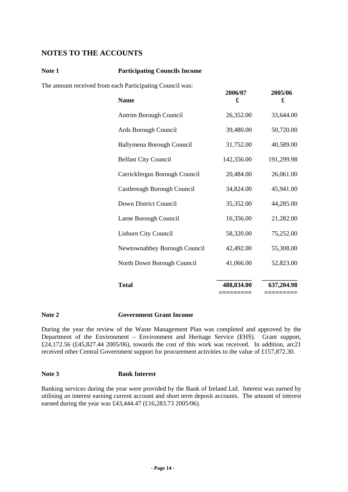# **NOTES TO THE ACCOUNTS**

#### **Note 1 Participating Councils Income**

The amount received from each Participating Council was:

| <b>Name</b>                   | 2006/07<br>£ | 2005/06<br>£ |
|-------------------------------|--------------|--------------|
| Antrim Borough Council        | 26,352.00    | 33,644.00    |
| Ards Borough Council          | 39,480.00    | 50,720.00    |
| Ballymena Borough Council     | 31,752.00    | 40,589.00    |
| <b>Belfast City Council</b>   | 142,356.00   | 191,299.98   |
| Carrickfergus Borough Council | 20,484.00    | 26,061.00    |
| Castlereagh Borough Council   | 34,824.00    | 45,941.00    |
| Down District Council         | 35,352.00    | 44,285.00    |
| Larne Borough Council         | 16,356.00    | 21,282.00    |
| Lisburn City Council          | 58,320.00    | 75,252.00    |
| Newtownabbey Borough Council  | 42,492.00    | 55,308.00    |
| North Down Borough Council    | 41,066.00    | 52,823.00    |
| <b>Total</b>                  | 488,834.00   | 637,204.98   |
|                               |              |              |

#### **Note 2 Government Grant Income**

During the year the review of the Waste Management Plan was completed and approved by the Department of the Environment – Environment and Heritage Service (EHS). Grant support, £24,172.56 (£45,827.44 2005/06), towards the cost of this work was received. In addition, arc21 received other Central Government support for procurement activities to the value of £157,872.30.

#### **Note 3 Bank Interest**

Banking services during the year were provided by the Bank of Ireland Ltd. Interest was earned by utilising an interest earning current account and short term deposit accounts. The amount of interest earned during the year was £43,444.47 (£16,283.73 2005/06).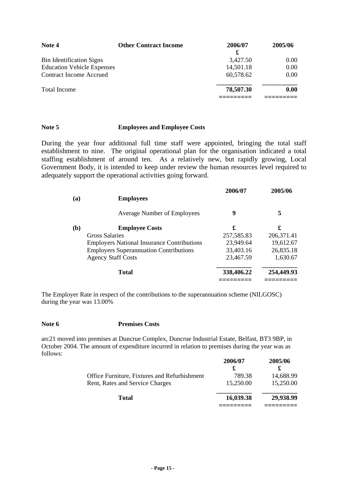| Note 4                            | <b>Other Contract Income</b> | 2006/07<br>£ | 2005/06 |
|-----------------------------------|------------------------------|--------------|---------|
| <b>Bin Identification Signs</b>   |                              | 3,427.50     | 0.00    |
| <b>Education Vehicle Expenses</b> |                              | 14,501.18    | 0.00    |
| <b>Contract Income Accrued</b>    |                              | 60,578.62    | 0.00    |
| <b>Total Income</b>               |                              | 78,507.30    | 0.00    |
|                                   |                              |              |         |

#### **Note 5 Employees and Employee Costs**

During the year four additional full time staff were appointed, bringing the total staff establishment to nine. The original operational plan for the organisation indicated a total staffing establishment of around ten. As a relatively new, but rapidly growing, Local Government Body, it is intended to keep under review the human resources level required to adequately support the operational activities going forward.

| <b>Employees</b>                                  | 2006/07    | 2005/06     |
|---------------------------------------------------|------------|-------------|
| <b>Average Number of Employees</b>                | 9          | 5           |
| <b>Employee Costs</b>                             | £          | £           |
| Gross Salaries                                    | 257,585.83 | 206, 371.41 |
| <b>Employers National Insurance Contributions</b> | 23,949.64  | 19,612.67   |
| <b>Employers Superannuation Contributions</b>     | 33,403.16  | 26,835.18   |
| <b>Agency Staff Costs</b>                         | 23,467.59  | 1,630.67    |
| <b>Total</b>                                      | 338,406.22 | 254,449.93  |
|                                                   |            |             |

The Employer Rate in respect of the contributions to the superannuation scheme (NILGOSC) during the year was 13.00%

#### **Note 6 Premises Costs**

arc21 moved into premises at Duncrue Complex, Duncrue Industrial Estate, Belfast, BT3 9BP, in October 2004. The amount of expenditure incurred in relation to premises during the year was as follows:

|                                              | 2006/07   | 2005/06   |
|----------------------------------------------|-----------|-----------|
|                                              | £         |           |
| Office Furniture, Fixtures and Refurbishment | 789.38    | 14,688.99 |
| Rent, Rates and Service Charges              | 15,250.00 | 15,250.00 |
| Total                                        | 16,039.38 | 29,938.99 |
|                                              |           |           |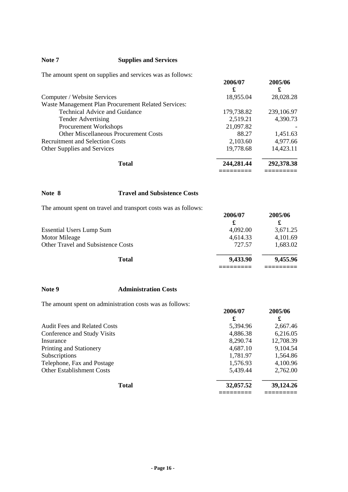#### **Note 7 Supplies and Services**

The amount spent on supplies and services was as follows:

|                                                     | 2006/07<br>£ | 2005/06<br>£ |
|-----------------------------------------------------|--------------|--------------|
| Computer / Website Services                         | 18,955.04    | 28,028.28    |
| Waste Management Plan Procurement Related Services: |              |              |
| Technical Advice and Guidance                       | 179,738.82   | 239,106.97   |
| <b>Tender Advertising</b>                           | 2,519.21     | 4,390.73     |
| <b>Procurement Workshops</b>                        | 21,097.82    |              |
| <b>Other Miscellaneous Procurement Costs</b>        | 88.27        | 1,451.63     |
| <b>Recruitment and Selection Costs</b>              | 2,103.60     | 4,977.66     |
| Other Supplies and Services                         | 19,778.68    | 14,423.11    |
| <b>Total</b>                                        | 244,281.44   | 292,378.38   |

#### **Note 8 Travel and Subsistence Costs**

The amount spent on travel and transport costs was as follows:

|                                    | 2006/07<br>£ | 2005/06  |
|------------------------------------|--------------|----------|
| <b>Essential Users Lump Sum</b>    | 4,092.00     | 3,671.25 |
| Motor Mileage                      | 4,614.33     | 4,101.69 |
| Other Travel and Subsistence Costs | 727.57       | 1,683.02 |
| <b>Total</b>                       | 9,433.90     | 9,455.96 |
|                                    |              |          |

#### **Note 9 Administration Costs**

The amount spent on administration costs was as follows:

| The unionit spent on auminionation costs was as follows: | 2006/07   | 2005/06   |
|----------------------------------------------------------|-----------|-----------|
|                                                          | £         | £         |
| <b>Audit Fees and Related Costs</b>                      | 5,394.96  | 2,667.46  |
| Conference and Study Visits                              | 4,886.38  | 6,216.05  |
| Insurance                                                | 8,290.74  | 12,708.39 |
| Printing and Stationery                                  | 4,687.10  | 9,104.54  |
| Subscriptions                                            | 1,781.97  | 1,564.86  |
| Telephone, Fax and Postage                               | 1,576.93  | 4,100.96  |
| <b>Other Establishment Costs</b>                         | 5,439.44  | 2,762.00  |
| <b>Total</b>                                             | 32,057.52 | 39,124.26 |
|                                                          |           |           |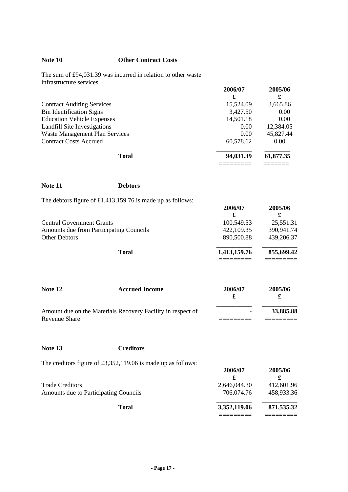#### **Note 10 Other Contract Costs**

The sum of £94,031.39 was incurred in relation to other waste infrastructure services.

|                                   | 2006/07<br>£ | 2005/06<br>£      |
|-----------------------------------|--------------|-------------------|
| <b>Contract Auditing Services</b> | 15,524.09    | 3,665.86          |
| <b>Bin Identification Signs</b>   | 3,427.50     | 0.00              |
| <b>Education Vehicle Expenses</b> | 14,501.18    | 0.00              |
| Landfill Site Investigations      | 0.00         | 12,384.05         |
| Waste Management Plan Services    | 0.00         | 45,827.44         |
| <b>Contract Costs Accrued</b>     | 60,578.62    | 0.00 <sub>1</sub> |
| <b>Total</b>                      | 94,031.39    | 61,877.35         |
|                                   |              |                   |

| Note 11 | <b>Debtors</b> |
|---------|----------------|
|         |                |

| The debtors figure of £1,413,159.76 is made up as follows: |              |              |
|------------------------------------------------------------|--------------|--------------|
|                                                            | 2006/07<br>£ | 2005/06<br>£ |
| <b>Central Government Grants</b>                           | 100,549.53   | 25,551.31    |
| Amounts due from Participating Councils                    | 422,109.35   | 390,941.74   |
| <b>Other Debtors</b>                                       | 890,500.88   | 439,206.37   |
| <b>Total</b>                                               | 1,413,159.76 | 855,699.42   |
|                                                            |              |              |

| Note 12       | <b>Accrued Income</b>                                       | 2006/07 | 2005/06   |
|---------------|-------------------------------------------------------------|---------|-----------|
|               | Amount due on the Materials Recovery Facility in respect of |         | 33,885.88 |
| Revenue Share |                                                             |         |           |

**Note 13 Creditors**

The creditors figure of £3,352,119.06 is made up as follows:

| The electrons right of $L_{0.002}L_{0.112}$ , or is made up as follows. | 2006/07      | 2005/06    |
|-------------------------------------------------------------------------|--------------|------------|
| <b>Trade Creditors</b>                                                  | 2,646,044.30 | 412,601.96 |
| Amounts due to Participating Councils                                   | 706,074.76   | 458.933.36 |
| <b>Total</b>                                                            | 3,352,119.06 | 871,535.32 |
|                                                                         |              |            |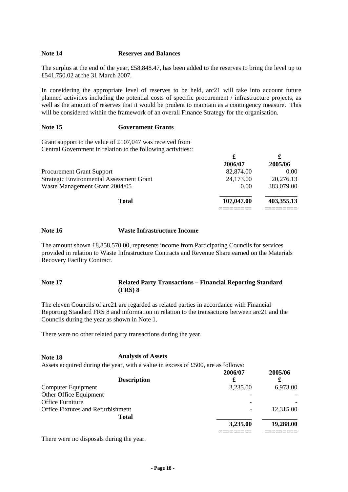#### **Note 14 Reserves and Balances**

The surplus at the end of the year, £58,848.47, has been added to the reserves to bring the level up to £541,750.02 at the 31 March 2007.

In considering the appropriate level of reserves to be held, arc21 will take into account future planned activities including the potential costs of specific procurement / infrastructure projects, as well as the amount of reserves that it would be prudent to maintain as a contingency measure. This will be considered within the framework of an overall Finance Strategy for the organisation.

#### **Note 15 Government Grants**

Grant support to the value of £107,047 was received from Central Government in relation to the following activities::

|                                                 | £          |                   |
|-------------------------------------------------|------------|-------------------|
|                                                 | 2006/07    | 2005/06           |
| <b>Procurement Grant Support</b>                | 82,874.00  | 0.00 <sub>1</sub> |
| <b>Strategic Environmental Assessment Grant</b> | 24,173.00  | 20,276.13         |
| Waste Management Grant 2004/05                  | 0.00       | 383,079.00        |
| <b>Total</b>                                    | 107,047.00 | 403,355.13        |
|                                                 |            |                   |

#### **Note 16 Waste Infrastructure Income**

The amount shown £8,858,570.00, represents income from Participating Councils for services provided in relation to Waste Infrastructure Contracts and Revenue Share earned on the Materials Recovery Facility Contract.

#### **Note 17 Related Party Transactions – Financial Reporting Standard (FRS) 8**

The eleven Councils of arc21 are regarded as related parties in accordance with Financial Reporting Standard FRS 8 and information in relation to the transactions between arc21 and the Councils during the year as shown in Note 1.

There were no other related party transactions during the year.

**Note 18 Analysis of Assets**  Assets acquired during the year, with a value in excess of £500, are as follows:

|                                   | 2006/07  | 2005/06   |
|-----------------------------------|----------|-----------|
| <b>Description</b>                | £        |           |
| Computer Equipment                | 3,235.00 | 6,973.00  |
| Other Office Equipment            |          |           |
| <b>Office Furniture</b>           |          |           |
| Office Fixtures and Refurbishment |          | 12,315.00 |
| <b>Total</b>                      |          |           |
|                                   | 3,235.00 | 19,288.00 |
|                                   |          |           |

There were no disposals during the year.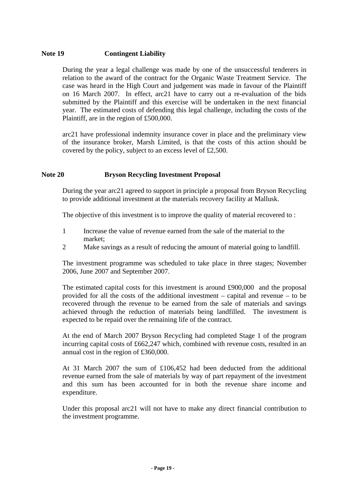#### **Note 19 Contingent Liability**

During the year a legal challenge was made by one of the unsuccessful tenderers in relation to the award of the contract for the Organic Waste Treatment Service. The case was heard in the High Court and judgement was made in favour of the Plaintiff on 16 March 2007. In effect, arc21 have to carry out a re-evaluation of the bids submitted by the Plaintiff and this exercise will be undertaken in the next financial year. The estimated costs of defending this legal challenge, including the costs of the Plaintiff, are in the region of £500,000.

arc21 have professional indemnity insurance cover in place and the preliminary view of the insurance broker, Marsh Limited, is that the costs of this action should be covered by the policy, subject to an excess level of £2,500.

#### **Note 20 Bryson Recycling Investment Proposal**

During the year arc21 agreed to support in principle a proposal from Bryson Recycling to provide additional investment at the materials recovery facility at Mallusk.

The objective of this investment is to improve the quality of material recovered to :

- 1 Increase the value of revenue earned from the sale of the material to the market;
- 2 Make savings as a result of reducing the amount of material going to landfill.

The investment programme was scheduled to take place in three stages; November 2006, June 2007 and September 2007.

The estimated capital costs for this investment is around £900,000 and the proposal provided for all the costs of the additional investment – capital and revenue – to be recovered through the revenue to be earned from the sale of materials and savings achieved through the reduction of materials being landfilled. The investment is expected to be repaid over the remaining life of the contract.

At the end of March 2007 Bryson Recycling had completed Stage 1 of the program incurring capital costs of £662,247 which, combined with revenue costs, resulted in an annual cost in the region of £360,000.

At 31 March 2007 the sum of £106,452 had been deducted from the additional revenue earned from the sale of materials by way of part repayment of the investment and this sum has been accounted for in both the revenue share income and expenditure.

Under this proposal arc21 will not have to make any direct financial contribution to the investment programme.